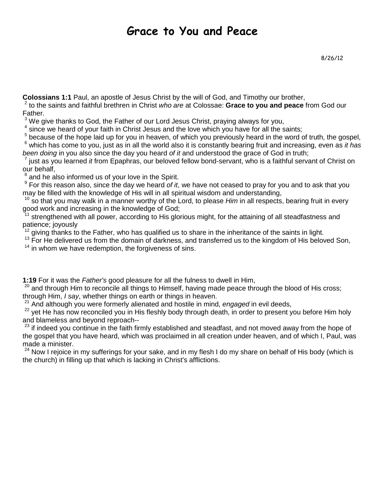## Grace to You and Peace

**Colossians 1:1** Paul, an apostle of Jesus Christ by the will of God, and Timothy our brother,

2 to the saints and faithful brethren in Christ who are at Colossae: **Grace to you and peace** from God our Father.

 $3$  We give thanks to God, the Father of our Lord Jesus Christ, praying always for you,

 $4$  since we heard of your faith in Christ Jesus and the love which you have for all the saints;

<sup>5</sup> because of the hope laid up for you in heaven, of which you previously heard in the word of truth, the gospel,  $6$  which has come to you, just as in all the world also it is constantly bearing fruit and increasing, even as it has been doing in you also since the day you heard of it and understood the grace of God in truth;

7 just as you learned *it* from Epaphras, our beloved fellow bond-servant, who is a faithful servant of Christ on our behalf,

 $8$  and he also informed us of your love in the Spirit.

 $9$  For this reason also, since the day we heard of it, we have not ceased to pray for you and to ask that you may be filled with the knowledge of His will in all spiritual wisdom and understanding,

 $10$  so that you may walk in a manner worthy of the Lord, to please Him in all respects, bearing fruit in every good work and increasing in the knowledge of God;

strengthened with all power, according to His glorious might, for the attaining of all steadfastness and patience; joyously

 $12$  giving thanks to the Father, who has qualified us to share in the inheritance of the saints in light.

 $13$  For He delivered us from the domain of darkness, and transferred us to the kingdom of His beloved Son,

 $14$  in whom we have redemption, the forgiveness of sins.

**1:19** For it was the Father's good pleasure for all the fulness to dwell in Him,

 $20$  and through Him to reconcile all things to Himself, having made peace through the blood of His cross; through Him, I say, whether things on earth or things in heaven.

 $21$  And although you were formerly alienated and hostile in mind, engaged in evil deeds,

<sup>22</sup> vet He has now reconciled you in His fleshly body through death, in order to present you before Him holy and blameless and beyond reproach--

<sup>23</sup> if indeed you continue in the faith firmly established and steadfast, and not moved away from the hope of the gospel that you have heard, which was proclaimed in all creation under heaven, and of which I, Paul, was made a minister.

 $24$  Now I rejoice in my sufferings for your sake, and in my flesh I do my share on behalf of His body (which is the church) in filling up that which is lacking in Christ's afflictions.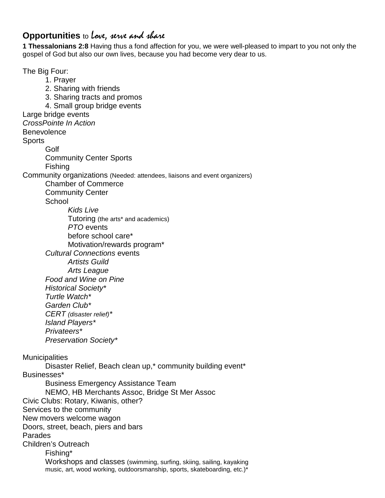## **Opportunities** to Love, serve and share

**1 Thessalonians 2:8** Having thus a fond affection for you, we were well-pleased to impart to you not only the gospel of God but also our own lives, because you had become very dear to us.

The Big Four: 1. Prayer 2. Sharing with friends 3. Sharing tracts and promos 4. Small group bridge events Large bridge events CrossPointe In Action **Benevolence Sports** Golf Community Center Sports Fishing Community organizations (Needed: attendees, liaisons and event organizers) Chamber of Commerce Community Center **School** Kids Live Tutoring (the arts\* and academics) PTO events before school care\* Motivation/rewards program\* Cultural Connections events Artists Guild Arts League Food and Wine on Pine Historical Society\* Turtle Watch\* Garden Club\* CERT (disaster relief)\* Island Players\* Privateers\* Preservation Society\* **Municipalities** Disaster Relief, Beach clean up,\* community building event\* Businesses\* Business Emergency Assistance Team NEMO, HB Merchants Assoc, Bridge St Mer Assoc Civic Clubs: Rotary, Kiwanis, other? Services to the community New movers welcome wagon Doors, street, beach, piers and bars Parades Children's Outreach Fishing\* Workshops and classes (swimming, surfing, skiing, sailing, kayaking music, art, wood working, outdoorsmanship, sports, skateboarding, etc.)\*